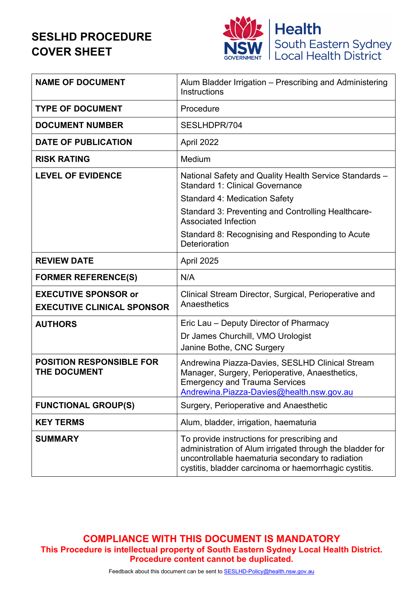# **SESLHD PROCEDURE COVER SHEET**



| <b>NAME OF DOCUMENT</b>                                          | Alum Bladder Irrigation - Prescribing and Administering<br>Instructions                                                                                                                                              |
|------------------------------------------------------------------|----------------------------------------------------------------------------------------------------------------------------------------------------------------------------------------------------------------------|
| <b>TYPE OF DOCUMENT</b>                                          | Procedure                                                                                                                                                                                                            |
| <b>DOCUMENT NUMBER</b>                                           | SESLHDPR/704                                                                                                                                                                                                         |
| <b>DATE OF PUBLICATION</b>                                       | April 2022                                                                                                                                                                                                           |
| <b>RISK RATING</b>                                               | Medium                                                                                                                                                                                                               |
| <b>LEVEL OF EVIDENCE</b>                                         | National Safety and Quality Health Service Standards -<br><b>Standard 1: Clinical Governance</b>                                                                                                                     |
|                                                                  | <b>Standard 4: Medication Safety</b>                                                                                                                                                                                 |
|                                                                  | Standard 3: Preventing and Controlling Healthcare-<br><b>Associated Infection</b>                                                                                                                                    |
|                                                                  | Standard 8: Recognising and Responding to Acute<br>Deterioration                                                                                                                                                     |
| <b>REVIEW DATE</b>                                               | April 2025                                                                                                                                                                                                           |
| <b>FORMER REFERENCE(S)</b>                                       | N/A                                                                                                                                                                                                                  |
| <b>EXECUTIVE SPONSOR or</b><br><b>EXECUTIVE CLINICAL SPONSOR</b> | Clinical Stream Director, Surgical, Perioperative and<br>Anaesthetics                                                                                                                                                |
| <b>AUTHORS</b>                                                   | Eric Lau – Deputy Director of Pharmacy                                                                                                                                                                               |
|                                                                  | Dr James Churchill, VMO Urologist<br>Janine Bothe, CNC Surgery                                                                                                                                                       |
| <b>POSITION RESPONSIBLE FOR</b><br><b>THE DOCUMENT</b>           | Andrewina Piazza-Davies, SESLHD Clinical Stream<br>Manager, Surgery, Perioperative, Anaesthetics,<br><b>Emergency and Trauma Services</b><br>Andrewina.Piazza-Davies@health.nsw.gov.au                               |
| <b>FUNCTIONAL GROUP(S)</b>                                       | Surgery, Perioperative and Anaesthetic                                                                                                                                                                               |
| <b>KEY TERMS</b>                                                 | Alum, bladder, irrigation, haematuria                                                                                                                                                                                |
| <b>SUMMARY</b>                                                   | To provide instructions for prescribing and<br>administration of Alum irrigated through the bladder for<br>uncontrollable haematuria secondary to radiation<br>cystitis, bladder carcinoma or haemorrhagic cystitis. |

**COMPLIANCE WITH THIS DOCUMENT IS MANDATORY This Procedure is intellectual property of South Eastern Sydney Local Health District. Procedure content cannot be duplicated.**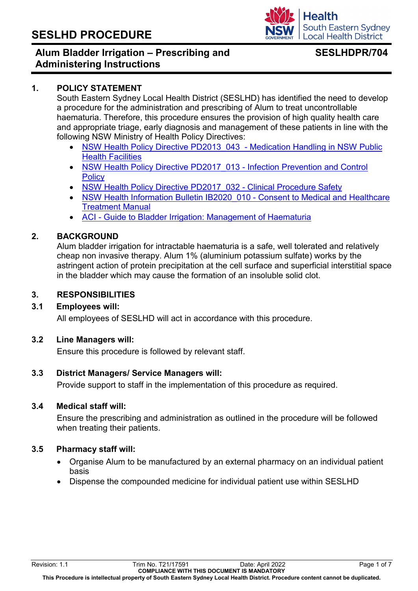## **Alum Bladder Irrigation – Prescribing and Administering Instructions**

## **SESLHDPR/704**

**South Eastern Sydney Local Health District** 

**Health** 

#### **1. POLICY STATEMENT**

South Eastern Sydney Local Health District (SESLHD) has identified the need to develop a procedure for the administration and prescribing of Alum to treat uncontrollable haematuria. Therefore, this procedure ensures the provision of high quality health care and appropriate triage, early diagnosis and management of these patients in line with the following NSW Ministry of Health Policy Directives:

- NSW Health Policy Directive PD2013 043 Medication Handling in NSW Public [Health Facilities](https://www1.health.nsw.gov.au/pds/Pages/doc.aspx?dn=PD2013_043)
- NSW Health Policy Directive PD2017 013 Infection Prevention and Control **[Policy](https://www1.health.nsw.gov.au/pds/Pages/doc.aspx?dn=PD2017_013)**
- NSW Health Policy Directive PD2017 032 Clinical Procedure Safety
- [NSW Health Information Bulletin IB2020\\_010 Consent to Medical and Healthcare](https://www1.health.nsw.gov.au/pds/Pages/doc.aspx?dn=IB2020_010)  [Treatment Manual](https://www1.health.nsw.gov.au/pds/Pages/doc.aspx?dn=IB2020_010)
- [ACI Guide to Bladder Irrigation: Management of Haematuria](https://www.aci.health.nsw.gov.au/__data/assets/pdf_file/0009/497088/ACI_0195-Urology-Haem-toolkit_F.pdf)

#### **2. BACKGROUND**

Alum bladder irrigation for intractable haematuria is a safe, well tolerated and relatively cheap non invasive therapy. Alum 1% (aluminium potassium sulfate) works by the astringent action of protein precipitation at the cell surface and superficial interstitial space in the bladder which may cause the formation of an insoluble solid clot.

#### **3. RESPONSIBILITIES**

#### **3.1 Employees will:**

All employees of SESLHD will act in accordance with this procedure.

#### **3.2 Line Managers will:**

Ensure this procedure is followed by relevant staff.

#### **3.3 District Managers/ Service Managers will:**

Provide support to staff in the implementation of this procedure as required.

#### **3.4 Medical staff will:**

Ensure the prescribing and administration as outlined in the procedure will be followed when treating their patients.

#### **3.5 Pharmacy staff will:**

- Organise Alum to be manufactured by an external pharmacy on an individual patient basis
- Dispense the compounded medicine for individual patient use within SESLHD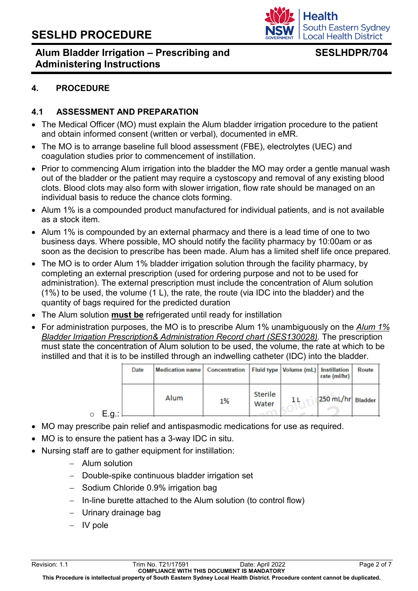

## **Alum Bladder Irrigation – Prescribing and Administering Instructions**

## **SESLHDPR/704**

## **4. PROCEDURE**

## **4.1 ASSESSMENT AND PREPARATION**

- The Medical Officer (MO) must explain the Alum bladder irrigation procedure to the patient and obtain informed consent (written or verbal), documented in eMR.
- The MO is to arrange baseline full blood assessment (FBE), electrolytes (UEC) and coagulation studies prior to commencement of instillation.
- Prior to commencing Alum irrigation into the bladder the MO may order a gentle manual wash out of the bladder or the patient may require a cystoscopy and removal of any existing blood clots. Blood clots may also form with slower irrigation, flow rate should be managed on an individual basis to reduce the chance clots forming.
- Alum 1% is a compounded product manufactured for individual patients, and is not available as a stock item.
- Alum 1% is compounded by an external pharmacy and there is a lead time of one to two business days. Where possible, MO should notify the facility pharmacy by 10:00am or as soon as the decision to prescribe has been made. Alum has a limited shelf life once prepared.
- The MO is to order Alum 1% bladder irrigation solution through the facility pharmacy, by completing an external prescription (used for ordering purpose and not to be used for administration). The external prescription must include the concentration of Alum solution (1%) to be used, the volume (1 L), the rate, the route (via IDC into the bladder) and the quantity of bags required for the predicted duration
- The Alum solution **must be** refrigerated until ready for instillation
- For administration purposes, the MO is to prescribe Alum 1% unambiguously on the *Alum 1% Bladder Irrigation Prescription& Administration Record chart (SES130028).* The prescription must state the concentration of Alum solution to be used, the volume, the rate at which to be instilled and that it is to be instilled through an indwelling catheter (IDC) into the bladder.

|                  | Date | Medication name   Concentration   Fluid type   Volume (mL)   Instillation |    |                  | rate (ml/hr)      | <b>Route</b> |
|------------------|------|---------------------------------------------------------------------------|----|------------------|-------------------|--------------|
| E.g.:<br>$\circ$ |      | Alum                                                                      | 1% | Sterile<br>Water | 250 mL/hr Bladder |              |

- MO may prescribe pain relief and antispasmodic medications for use as required.
- MO is to ensure the patient has a 3-way IDC in situ.
- Nursing staff are to gather equipment for instillation:
	- − Alum solution
	- − Double-spike continuous bladder irrigation set
	- − Sodium Chloride 0.9% irrigation bag
	- − In-line burette attached to the Alum solution (to control flow)
	- Urinary drainage bag
	- − IV pole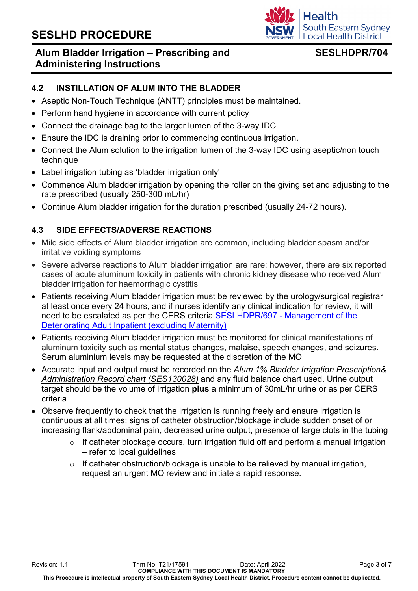## **Alum Bladder Irrigation – Prescribing and Administering Instructions**

## **SESLHDPR/704**

South Eastern Sydney **Local Health District** 

**Health** 

### **4.2 INSTILLATION OF ALUM INTO THE BLADDER**

- Aseptic Non-Touch Technique (ANTT) principles must be maintained.
- Perform hand hygiene in accordance with current policy
- Connect the drainage bag to the larger lumen of the 3-way IDC
- Ensure the IDC is draining prior to commencing continuous irrigation.
- Connect the Alum solution to the irrigation lumen of the 3-way IDC using aseptic/non touch technique
- Label irrigation tubing as 'bladder irrigation only'
- Commence Alum bladder irrigation by opening the roller on the giving set and adjusting to the rate prescribed (usually 250-300 mL/hr)
- Continue Alum bladder irrigation for the duration prescribed (usually 24-72 hours).

## **4.3 SIDE EFFECTS/ADVERSE REACTIONS**

- Mild side effects of Alum bladder irrigation are common, including bladder spasm and/or irritative voiding symptoms
- Severe adverse reactions to Alum bladder irrigation are rare; however, there are six reported cases of acute aluminum toxicity in patients with chronic kidney disease who received Alum bladder irrigation for haemorrhagic cystitis
- Patients receiving Alum bladder irrigation must be reviewed by the urology/surgical registrar at least once every 24 hours, and if nurses identify any clinical indication for review, it will need to be escalated as per the CERS criteria [SESLHDPR/697 - Management of the](https://www.seslhd.health.nsw.gov.au/policies-and-publications/functional-group/84)  Deteriorating Adult [Inpatient \(excluding](https://www.seslhd.health.nsw.gov.au/policies-and-publications/functional-group/84) Maternity)
- Patients receiving Alum bladder irrigation must be monitored for clinical manifestations of aluminum toxicity such as mental status changes, malaise, speech changes, and seizures. Serum aluminium levels may be requested at the discretion of the MO
- Accurate input and output must be recorded on the *Alum 1% Bladder Irrigation Prescription& Administration Record chart (SES130028)* and any fluid balance chart used. Urine output target should be the volume of irrigation **plus** a minimum of 30mL/hr urine or as per CERS criteria
- Observe frequently to check that the irrigation is running freely and ensure irrigation is continuous at all times; signs of catheter obstruction/blockage include sudden onset of or increasing flank/abdominal pain, decreased urine output, presence of large clots in the tubing
	- $\circ$  If catheter blockage occurs, turn irrigation fluid off and perform a manual irrigation – refer to local guidelines
	- $\circ$  If catheter obstruction/blockage is unable to be relieved by manual irrigation, request an urgent MO review and initiate a rapid response.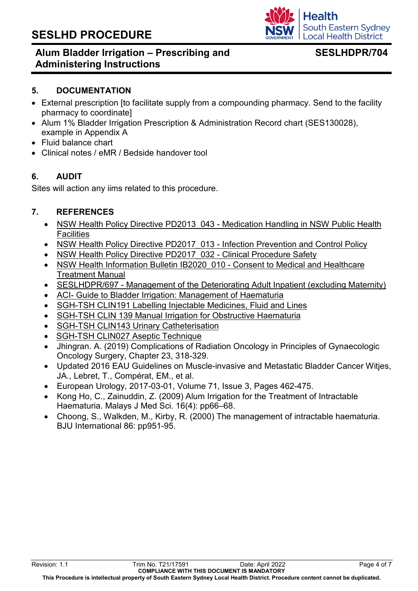## **Alum Bladder Irrigation – Prescribing and Administering Instructions**

## **SESLHDPR/704**

#### **5. DOCUMENTATION**

- External prescription [to facilitate supply from a compounding pharmacy. Send to the facility pharmacy to coordinate]
- Alum 1% Bladder Irrigation Prescription & Administration Record chart (SES130028), example in Appendix A
- Fluid balance chart
- Clinical notes / eMR / Bedside handover tool

### **6. AUDIT**

Sites will action any iims related to this procedure.

#### **7. REFERENCES**

- NSW Health Policy Directive PD2013 043 Medication Handling in NSW Public Health **[Facilities](https://www1.health.nsw.gov.au/pds/Pages/doc.aspx?dn=PD2013_043)**
- [NSW Health Policy Directive PD2017\\_013 Infection Prevention and Control Policy](https://www1.health.nsw.gov.au/pds/Pages/doc.aspx?dn=PD2017_013)
- NSW Health Policy Directive PD2017 032 Clinical Procedure Safety
- NSW Health Information Bulletin IB2020 010 Consent to Medical and Healthcare [Treatment Manual](https://www1.health.nsw.gov.au/pds/Pages/doc.aspx?dn=IB2020_010)
- [SESLHDPR/697 Management of the Deteriorating Adult Inpatient \(excluding](https://www.seslhd.health.nsw.gov.au/policies-and-publications/functional-group/84) Maternity)
- [ACI- Guide to Bladder Irrigation: Management of Haematuria](https://www.aci.health.nsw.gov.au/__data/assets/pdf_file/0009/497088/ACI_0195-Urology-Haem-toolkit_F.pdf)
- [SGH-TSH CLIN191 Labelling Injectable Medicines, Fluid and Lines](http://seslhnweb/SGSHHS/Business_Rules/Clinical/#L)
- [SGH-TSH CLIN 139 Manual Irrigation for Obstructive Haematuria](http://seslhnweb/SGSHHS/Business_Rules/Clinical/Urology/default.asp)
- [SGH-TSH CLIN143 Urinary Catheterisation](http://seslhnweb/SGSHHS/Business_Rules/Clinical/Urology/default.asp)
- [SGH-TSH CLIN027 Aseptic Technique](http://seslhnweb/SGSHHS/Business_Rules/Clinical/#A)
- Jhingran. A. (2019) Complications of Radiation Oncology in Principles of Gynaecologic Oncology Surgery, Chapter 23, 318-329.
- Updated 2016 EAU Guidelines on Muscle-invasive and Metastatic Bladder Cancer Witjes, JA., Lebret, T., Compérat, EM., et al.
- European Urology, 2017-03-01, Volume 71, Issue 3, Pages 462-475.
- Kong Ho, C., Zainuddin, Z. (2009) Alum Irrigation for the Treatment of Intractable Haematuria. Malays J Med Sci. 16(4): pp66–68.
- Choong, S., Walkden, M., Kirby, R. (2000) The management of intractable haematuria. BJU International 86: pp951-95.

**Health South Eastern Sydney Local Health District**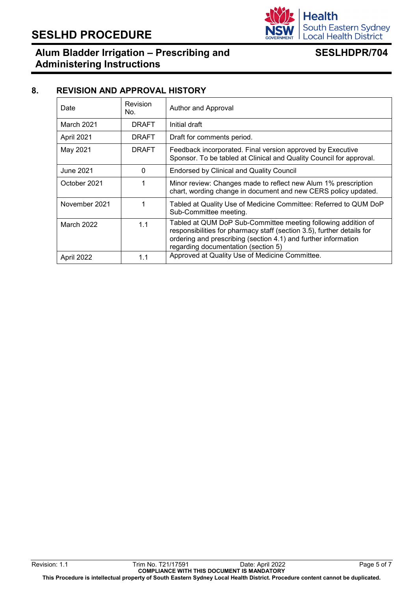

## **Alum Bladder Irrigation – Prescribing and Administering Instructions**

## **SESLHDPR/704**

#### **8. REVISION AND APPROVAL HISTORY**

| Date          | Revision<br>No. | Author and Approval                                                                                                                                                                                                                              |
|---------------|-----------------|--------------------------------------------------------------------------------------------------------------------------------------------------------------------------------------------------------------------------------------------------|
| March 2021    | <b>DRAFT</b>    | Initial draft                                                                                                                                                                                                                                    |
| April 2021    | <b>DRAFT</b>    | Draft for comments period.                                                                                                                                                                                                                       |
| May 2021      | <b>DRAFT</b>    | Feedback incorporated. Final version approved by Executive<br>Sponsor. To be tabled at Clinical and Quality Council for approval.                                                                                                                |
| June 2021     | 0               | <b>Endorsed by Clinical and Quality Council</b>                                                                                                                                                                                                  |
| October 2021  |                 | Minor review: Changes made to reflect new Alum 1% prescription<br>chart, wording change in document and new CERS policy updated.                                                                                                                 |
| November 2021 |                 | Tabled at Quality Use of Medicine Committee: Referred to QUM DoP<br>Sub-Committee meeting.                                                                                                                                                       |
| March 2022    | 1.1             | Tabled at QUM DoP Sub-Committee meeting following addition of<br>responsibilities for pharmacy staff (section 3.5), further details for<br>ordering and prescribing (section 4.1) and further information<br>regarding documentation (section 5) |
| April 2022    | 1.1             | Approved at Quality Use of Medicine Committee.                                                                                                                                                                                                   |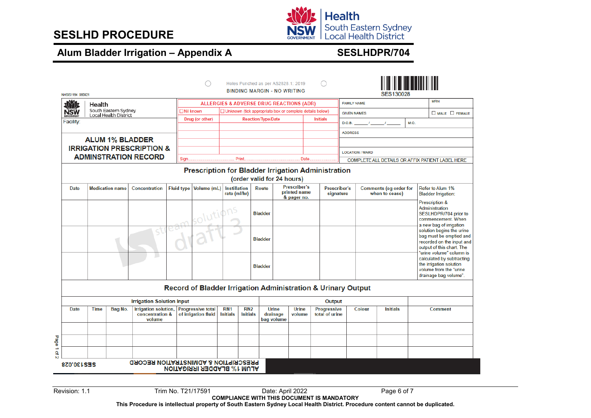

# **Alum Bladder Irrigation – Appendix A SESLHDPR/704**

|   | NHSIS1164 080921                                                                                                                            |                                                                                                                                                                             |                                                      |                                                  |                   |                                                                                |                                              |                                      | Holes Punched as per AS2828.1: 2019<br><b>BINDING MARGIN - NO WRITING</b> |                                                                          |                 |                 |                                                 |                                                       | <b>SES130028</b>                                                                                           |                                                                                                                                            |            |  |
|---|---------------------------------------------------------------------------------------------------------------------------------------------|-----------------------------------------------------------------------------------------------------------------------------------------------------------------------------|------------------------------------------------------|--------------------------------------------------|-------------------|--------------------------------------------------------------------------------|----------------------------------------------|--------------------------------------|---------------------------------------------------------------------------|--------------------------------------------------------------------------|-----------------|-----------------|-------------------------------------------------|-------------------------------------------------------|------------------------------------------------------------------------------------------------------------|--------------------------------------------------------------------------------------------------------------------------------------------|------------|--|
|   | ama                                                                                                                                         | Health                                                                                                                                                                      |                                                      |                                                  |                   | <b>ALLERGIES &amp; ADVERSE DRUG REACTIONS (ADR)</b>                            |                                              |                                      |                                                                           |                                                                          |                 |                 |                                                 | <b>FAMILY NAME</b>                                    |                                                                                                            |                                                                                                                                            | <b>MRN</b> |  |
|   | NSW                                                                                                                                         |                                                                                                                                                                             | South Eastern Sydney<br><b>Local Health District</b> |                                                  |                   | $\Box$ Nil known<br>□ Unknown (tick appropriate box or complete details below) |                                              |                                      |                                                                           |                                                                          |                 |                 |                                                 | $\square$ MALE $\square$ FEMALE<br><b>GIVEN NAMES</b> |                                                                                                            |                                                                                                                                            |            |  |
|   | Facility:                                                                                                                                   |                                                                                                                                                                             |                                                      |                                                  |                   | Drug (or other)                                                                |                                              |                                      | <b>Reaction/Type/Date</b>                                                 |                                                                          |                 | <b>Initials</b> | <b>M.O.</b><br>$\overline{1}$<br>D.O.B.         |                                                       |                                                                                                            |                                                                                                                                            |            |  |
|   |                                                                                                                                             |                                                                                                                                                                             |                                                      |                                                  |                   |                                                                                |                                              |                                      |                                                                           |                                                                          |                 |                 |                                                 | <b>ADDRESS</b>                                        |                                                                                                            |                                                                                                                                            |            |  |
|   |                                                                                                                                             |                                                                                                                                                                             |                                                      | <b>ALUM 1% BLADDER</b>                           |                   |                                                                                |                                              |                                      |                                                                           |                                                                          |                 |                 |                                                 |                                                       |                                                                                                            |                                                                                                                                            |            |  |
|   |                                                                                                                                             |                                                                                                                                                                             |                                                      | <b>IRRIGATION PRESCRIPTION &amp;</b>             |                   |                                                                                |                                              |                                      |                                                                           |                                                                          |                 |                 |                                                 | <b>LOCATION / WARD</b>                                |                                                                                                            |                                                                                                                                            |            |  |
|   |                                                                                                                                             |                                                                                                                                                                             |                                                      | <b>ADMINSTRATION RECORD</b>                      | Sign.             |                                                                                |                                              | Print.                               |                                                                           |                                                                          | Date.           |                 |                                                 |                                                       |                                                                                                            |                                                                                                                                            |            |  |
|   | COMPLETE ALL DETAILS OR AFFIX PATIENT LABEL HERE<br><b>Prescription for Bladder Irrigation Administration</b><br>(order valid for 24 hours) |                                                                                                                                                                             |                                                      |                                                  |                   |                                                                                |                                              |                                      |                                                                           |                                                                          |                 |                 |                                                 |                                                       |                                                                                                            |                                                                                                                                            |            |  |
|   | Date                                                                                                                                        |                                                                                                                                                                             | <b>Medication name</b>                               | <b>Concentration</b>                             | <b>Fluid type</b> | Volume (mL)                                                                    | Route<br><b>Instillation</b><br>rate (ml/hr) |                                      |                                                                           | Prescriber's<br>Prescriber's<br>printed name<br>signature<br>& pager no. |                 |                 | <b>Comments (eg order for</b><br>when to cease) |                                                       |                                                                                                            | Refer to Alum 1%<br><b>Bladder Irrigation:</b>                                                                                             |            |  |
|   |                                                                                                                                             |                                                                                                                                                                             |                                                      |                                                  | solutiv           |                                                                                |                                              | <b>Bladder</b>                       |                                                                           |                                                                          |                 |                 |                                                 |                                                       | Prescription &<br>Administration<br>SESLHDPR/704 prior to<br>commencement. When<br>a new bag of irrigation |                                                                                                                                            |            |  |
|   |                                                                                                                                             |                                                                                                                                                                             |                                                      |                                                  |                   |                                                                                |                                              | <b>Bladder</b>                       |                                                                           |                                                                          |                 |                 |                                                 |                                                       |                                                                                                            | solution begins the urine<br>bag must be emptied and<br>recorded on the input and<br>output of this chart. The<br>"urine volume" column is |            |  |
|   |                                                                                                                                             |                                                                                                                                                                             |                                                      |                                                  |                   |                                                                                | <b>Bladder</b>                               |                                      |                                                                           |                                                                          |                 |                 |                                                 |                                                       | calculated by subtracting<br>the irrigation solution<br>volume from the "urine"<br>drainage bag volume".   |                                                                                                                                            |            |  |
|   |                                                                                                                                             |                                                                                                                                                                             |                                                      |                                                  |                   | Record of Bladder Irrigation Administration & Urinary Output                   |                                              |                                      |                                                                           |                                                                          |                 |                 |                                                 |                                                       |                                                                                                            |                                                                                                                                            |            |  |
|   |                                                                                                                                             |                                                                                                                                                                             |                                                      | <b>Irrigation Solution Input</b>                 |                   |                                                                                |                                              |                                      |                                                                           |                                                                          |                 | Output          |                                                 |                                                       |                                                                                                            |                                                                                                                                            |            |  |
|   | Date                                                                                                                                        | <b>Irrigation solution.</b><br>RN <sub>1</sub><br><b>Time</b><br>Bag No.<br><b>Progressive total</b><br>concentration &<br>of irrigation fluid<br><b>Initials</b><br>volume |                                                      | RN <sub>2</sub><br><b>Initials</b><br>bag volume |                   | <b>Urine</b><br>drainage                                                       | <b>Urine</b><br>volume                       | <b>Progressive</b><br>total of urine |                                                                           | Colour                                                                   | <b>Initials</b> |                 | <b>Comment</b>                                  |                                                       |                                                                                                            |                                                                                                                                            |            |  |
|   |                                                                                                                                             |                                                                                                                                                                             |                                                      |                                                  |                   |                                                                                |                                              |                                      |                                                                           |                                                                          |                 |                 |                                                 |                                                       |                                                                                                            |                                                                                                                                            |            |  |
|   |                                                                                                                                             |                                                                                                                                                                             |                                                      |                                                  |                   |                                                                                |                                              |                                      |                                                                           |                                                                          |                 |                 |                                                 |                                                       |                                                                                                            |                                                                                                                                            |            |  |
| Q |                                                                                                                                             |                                                                                                                                                                             |                                                      |                                                  |                   |                                                                                |                                              |                                      |                                                                           |                                                                          |                 |                 |                                                 |                                                       |                                                                                                            |                                                                                                                                            |            |  |
|   | PRESCRIPTION & ADMINSTRATION RECORD<br><b>SES130.028</b><br><b>ALUM 1% BLADDER IRRIGATION</b>                                               |                                                                                                                                                                             |                                                      |                                                  |                   |                                                                                |                                              |                                      |                                                                           |                                                                          |                 |                 |                                                 |                                                       |                                                                                                            |                                                                                                                                            |            |  |